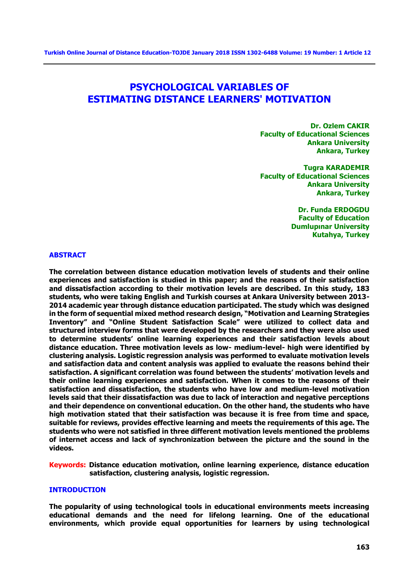# **PSYCHOLOGICAL VARIABLES OF ESTIMATING DISTANCE LEARNERS' MOTIVATION**

**Dr. Ozlem CAKIR Faculty of Educational Sciences Ankara University Ankara, Turkey**

**Tugra KARADEMIR Faculty of Educational Sciences Ankara University Ankara, Turkey**

> **Dr. Funda ERDOGDU Faculty of Education Dumlupınar University Kutahya, Turkey**

#### **ABSTRACT**

**The correlation between distance education motivation levels of students and their online experiences and satisfaction is studied in this paper; and the reasons of their satisfaction and dissatisfaction according to their motivation levels are described. In this study, 183 students, who were taking English and Turkish courses at Ankara University between 2013- 2014 academic year through distance education participated. The study which was designed in the form of sequential mixed method research design, "Motivation and Learning Strategies Inventory" and "Online Student Satisfaction Scale" were utilized to collect data and structured interview forms that were developed by the researchers and they were also used to determine students' online learning experiences and their satisfaction levels about distance education. Three motivation levels as low- medium-level- high were identified by clustering analysis. Logistic regression analysis was performed to evaluate motivation levels and satisfaction data and content analysis was applied to evaluate the reasons behind their satisfaction. A significant correlation was found between the students' motivation levels and their online learning experiences and satisfaction. When it comes to the reasons of their satisfaction and dissatisfaction, the students who have low and medium-level motivation levels said that their dissatisfaction was due to lack of interaction and negative perceptions and their dependence on conventional education. On the other hand, the students who have high motivation stated that their satisfaction was because it is free from time and space, suitable for reviews, provides effective learning and meets the requirements of this age. The students who were not satisfied in three different motivation levels mentioned the problems of internet access and lack of synchronization between the picture and the sound in the videos.**

**Keywords: Distance education motivation, online learning experience, distance education satisfaction, clustering analysis, logistic regression.** 

## **INTRODUCTION**

**The popularity of using technological tools in educational environments meets increasing educational demands and the need for lifelong learning. One of the educational environments, which provide equal opportunities for learners by using technological**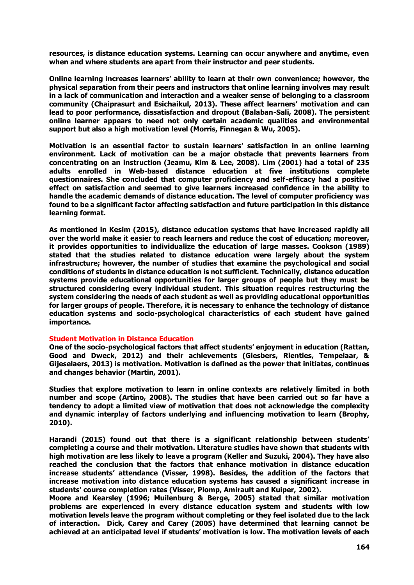**resources, is distance education systems. Learning can occur anywhere and anytime, even when and where students are apart from their instructor and peer students.** 

**Online learning increases learners' ability to learn at their own convenience; however, the physical separation from their peers and instructors that online learning involves may result in a lack of communication and interaction and a weaker sense of belonging to a classroom community (Chaiprasurt and Esichaikul, 2013). These affect learners' motivation and can lead to poor performance, dissatisfaction and dropout (Balaban-Sali, 2008). The persistent online learner appears to need not only certain academic qualities and environmental support but also a high motivation level (Morris, Finnegan & Wu, 2005).** 

**Motivation is an essential factor to sustain learners' satisfaction in an online learning environment. Lack of motivation can be a major obstacle that prevents learners from concentrating on an instruction (Jeamu, Kim & Lee, 2008). Lim (2001) had a total of 235 adults enrolled in Web-based distance education at five institutions complete questionnaires. She concluded that computer proficiency and self-efficacy had a positive effect on satisfaction and seemed to give learners increased confidence in the ability to handle the academic demands of distance education. The level of computer proficiency was found to be a significant factor affecting satisfaction and future participation in this distance learning format.**

**As mentioned in Kesim (2015), distance education systems that have increased rapidly all over the world make it easier to reach learners and reduce the cost of education; moreover, it provides opportunities to individualize the education of large masses. Cookson (1989) stated that the studies related to distance education were largely about the system infrastructure; however, the number of studies that examine the psychological and social conditions of students in distance education is not sufficient. Technically, distance education systems provide educational opportunities for larger groups of people but they must be structured considering every individual student. This situation requires restructuring the system considering the needs of each student as well as providing educational opportunities for larger groups of people. Therefore, it is necessary to enhance the technology of distance education systems and socio-psychological characteristics of each student have gained importance.**

#### **Student Motivation in Distance Education**

**One of the socio-psychological factors that affect students' enjoyment in education (Rattan, Good and Dweck, 2012) and their achievements (Giesbers, Rienties, Tempelaar, & Gijeselaers, 2013) is motivation. Motivation is defined as the power that initiates, continues and changes behavior (Martin, 2001).** 

**Studies that explore motivation to learn in online contexts are relatively limited in both number and scope (Artino, 2008). The studies that have been carried out so far have a tendency to adopt a limited view of motivation that does not acknowledge the complexity and dynamic interplay of factors underlying and influencing motivation to learn (Brophy, 2010).**

**Harandi (2015) found out that there is a significant relationship between students' completing a course and their motivation. Literature studies have shown that students with high motivation are less likely to leave a program (Keller and Suzuki, 2004). They have also reached the conclusion that the factors that enhance motivation in distance education increase students' attendance (Visser, 1998). Besides, the addition of the factors that increase motivation into distance education systems has caused a significant increase in students' course completion rates (Visser, Plomp, Amirault and Kuiper, 2002).** 

**Moore and Kearsley (1996; Muilenburg & Berge, 2005) stated that similar motivation problems are experienced in every distance education system and students with low motivation levels leave the program without completing or they feel isolated due to the lack of interaction. Dick, Carey and Carey (2005) have determined that learning cannot be achieved at an anticipated level if students' motivation is low. The motivation levels of each**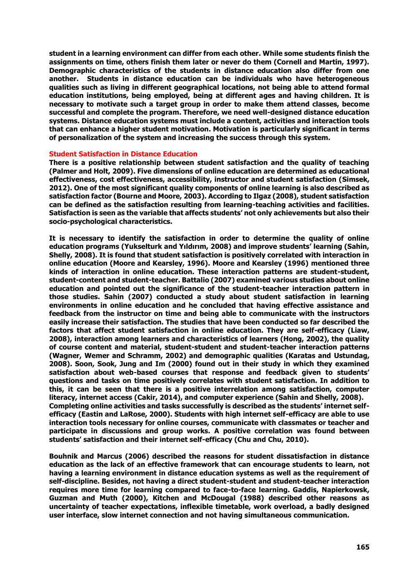**student in a learning environment can differ from each other. While some students finish the assignments on time, others finish them later or never do them (Cornell and Martin, 1997). Demographic characteristics of the students in distance education also differ from one another. Students in distance education can be individuals who have heterogeneous qualities such as living in different geographical locations, not being able to attend formal education institutions, being employed, being at different ages and having children. It is necessary to motivate such a target group in order to make them attend classes, become successful and complete the program. Therefore, we need well-designed distance education systems. Distance education systems must include a content, activities and interaction tools that can enhance a higher student motivation. Motivation is particularly significant in terms of personalization of the system and increasing the success through this system.** 

#### **Student Satisfaction in Distance Education**

**There is a positive relationship between student satisfaction and the quality of teaching (Palmer and Holt, 2009). Five dimensions of online education are determined as educational effectiveness, cost effectiveness, accessibility, instructor and student satisfaction (Simsek, 2012). One of the most significant quality components of online learning is also described as satisfaction factor (Bourne and Moore, 2003). According to Ilgaz (2008), student satisfaction can be defined as the satisfaction resulting from learning-teaching activities and facilities. Satisfaction is seen as the variable that affects students' not only achievements but also their socio-psychological characteristics.**

**It is necessary to identify the satisfaction in order to determine the quality of online education programs (Yukselturk and Yıldırım, 2008) and improve students' learning (Sahin, Shelly, 2008). It is found that student satisfaction is positively correlated with interaction in online education (Moore and Kearsley, 1996). Moore and Kearsley (1996) mentioned three kinds of interaction in online education. These interaction patterns are student-student, student-content and student-teacher. Battalio (2007) examined various studies about online education and pointed out the significance of the student-teacher interaction pattern in those studies. Sahin (2007) conducted a study about student satisfaction in learning environments in online education and he concluded that having effective assistance and feedback from the instructor on time and being able to communicate with the instructors easily increase their satisfaction. The studies that have been conducted so far described the factors that affect student satisfaction in online education. They are self-efficacy (Liaw, 2008), interaction among learners and characteristics of learners (Hong, 2002), the quality of course content and material, student-student and student-teacher interaction patterns (Wagner, Wemer and Schramm, 2002) and demographic qualities (Karatas and Ustundag, 2008). Soon, Sook, Jung and Im (2000) found out in their study in which they examined satisfaction about web-based courses that response and feedback given to students' questions and tasks on time positively correlates with student satisfaction. In addition to this, it can be seen that there is a positive interrelation among satisfaction, computer literacy, internet access (Cakir, 2014), and computer experience (Sahin and Shelly, 2008). Completing online activities and tasks successfully is described as the students' internet selfefficacy (Eastin and LaRose, 2000). Students with high internet self-efficacy are able to use interaction tools necessary for online courses, communicate with classmates or teacher and participate in discussions and group works. A positive correlation was found between students' satisfaction and their internet self-efficacy (Chu and Chu, 2010).** 

**Bouhnik and Marcus (2006) described the reasons for student dissatisfaction in distance education as the lack of an effective framework that can encourage students to learn, not having a learning environment in distance education systems as well as the requirement of self-discipline. Besides, not having a direct student-student and student-teacher interaction requires more time for learning compared to face-to-face learning. Gaddis, Napierkowsk, Guzman and Muth (2000), Kitchen and McDougal (1988) described other reasons as uncertainty of teacher expectations, inflexible timetable, work overload, a badly designed user interface, slow internet connection and not having simultaneous communication.**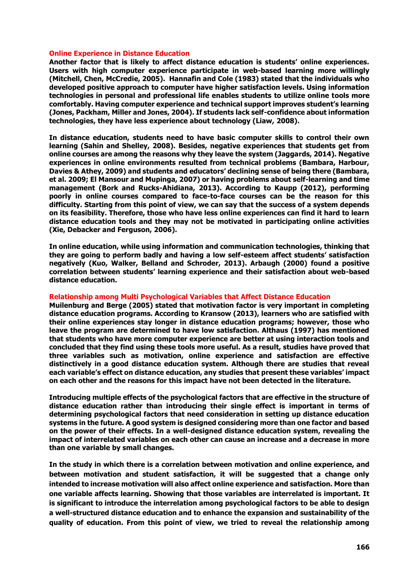#### **Online Experience in Distance Education**

**Another factor that is likely to affect distance education is students' online experiences. Users with high computer experience participate in web-based learning more willingly (Mitchell, Chen, McCredie, 2005). Hannafin and Cole (1983) stated that the individuals who developed positive approach to computer have higher satisfaction levels. Using information technologies in personal and professional life enables students to utilize online tools more comfortably. Having computer experience and technical support improves student's learning (Jones, Packham, Miller and Jones, 2004). If students lack self-confidence about information technologies, they have less experience about technology (Liaw, 2008).** 

**In distance education, students need to have basic computer skills to control their own learning (Sahin and Shelley, 2008). Besides, negative experiences that students get from online courses are among the reasons why they leave the system (Jaggards, 2014). Negative experiences in online environments resulted from technical problems (Bambara, Harbour, Davies & Athey, 2009) and students and educators' declining sense of being there (Bambara, et al. 2009; El Mansour and Mupinga, 2007) or having problems about self-learning and time management (Bork and Rucks-Ahidiana, 2013). According to Kaupp (2012), performing poorly in online courses compared to face-to-face courses can be the reason for this difficulty. Starting from this point of view, we can say that the success of a system depends on its feasibility. Therefore, those who have less online experiences can find it hard to learn distance education tools and they may not be motivated in participating online activities (Xie, Debacker and Ferguson, 2006).**

**In online education, while using information and communication technologies, thinking that they are going to perform badly and having a low self-esteem affect students' satisfaction negatively (Kuo, Walker, Belland and Schroder, 2013). Arbaugh (2000) found a positive correlation between students' learning experience and their satisfaction about web-based distance education.** 

#### **Relationship among Multi Psychological Variables that Affect Distance Education**

**Muilenburg and Berge (2005) stated that motivation factor is very important in completing distance education programs. According to Kransow (2013), learners who are satisfied with their online experiences stay longer in distance education programs; however, those who leave the program are determined to have low satisfaction. Althaus (1997) has mentioned that students who have more computer experience are better at using interaction tools and concluded that they find using these tools more useful. As a result, studies have proved that three variables such as motivation, online experience and satisfaction are effective distinctively in a good distance education system. Although there are studies that reveal each variable's effect on distance education, any studies that present these variables' impact on each other and the reasons for this impact have not been detected in the literature.** 

**Introducing multiple effects of the psychological factors that are effective in the structure of distance education rather than introducing their single effect is important in terms of determining psychological factors that need consideration in setting up distance education systems in the future. A good system is designed considering more than one factor and based on the power of their effects. In a well-designed distance education system, revealing the impact of interrelated variables on each other can cause an increase and a decrease in more than one variable by small changes.** 

**In the study in which there is a correlation between motivation and online experience, and between motivation and student satisfaction, it will be suggested that a change only intended to increase motivation will also affect online experience and satisfaction. More than one variable affects learning. Showing that those variables are interrelated is important. It is significant to introduce the interrelation among psychological factors to be able to design a well-structured distance education and to enhance the expansion and sustainability of the quality of education. From this point of view, we tried to reveal the relationship among**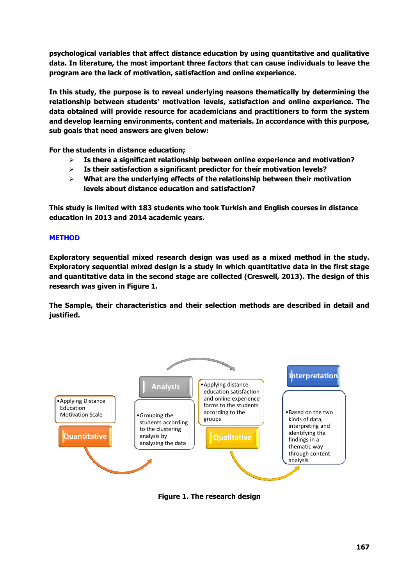**psychological variables that affect distance education by using quantitative and qualitative data. In literature, the most important three factors that can cause individuals to leave the program are the lack of motivation, satisfaction and online experience.** 

**In this study, the purpose is to reveal underlying reasons thematically by determining the relationship between students' motivation levels, satisfaction and online experience. The data obtained will provide resource for academicians and practitioners to form the system and develop learning environments, content and materials. In accordance with this purpose, sub goals that need answers are given below:** 

**For the students in distance education;**

- **Is there a significant relationship between online experience and motivation?**
- **Is their satisfaction a significant predictor for their motivation levels?**
- **What are the underlying effects of the relationship between their motivation levels about distance education and satisfaction?**

**This study is limited with 183 students who took Turkish and English courses in distance education in 2013 and 2014 academic years.**

# **METHOD**

**Exploratory sequential mixed research design was used as a mixed method in the study. Exploratory sequential mixed design is a study in which quantitative data in the first stage and quantitative data in the second stage are collected (Creswell, 2013). The design of this research was given in Figure 1.**

**The Sample, their characteristics and their selection methods are described in detail and justified.**



**Figure 1. The research design**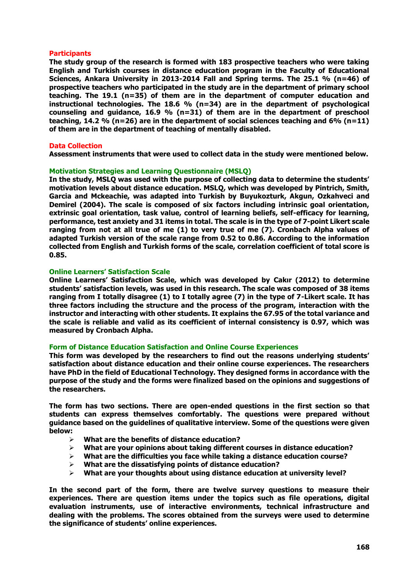#### **Participants**

**The study group of the research is formed with 183 prospective teachers who were taking English and Turkish courses in distance education program in the Faculty of Educational Sciences, Ankara University in 2013-2014 Fall and Spring terms. The 25.1 % (n=46) of prospective teachers who participated in the study are in the department of primary school teaching. The 19.1 (n=35) of them are in the department of computer education and instructional technologies. The 18.6 % (n=34) are in the department of psychological counseling and guidance, 16.9 % (n=31) of them are in the department of preschool teaching, 14.2 % (n=26) are in the department of social sciences teaching and 6% (n=11) of them are in the department of teaching of mentally disabled.**

#### **Data Collection**

**Assessment instruments that were used to collect data in the study were mentioned below.**

### **Motivation Strategies and Learning Questionnaire (MSLQ)**

**In the study, MSLQ was used with the purpose of collecting data to determine the students' motivation levels about distance education. MSLQ, which was developed by Pintrich, Smith, Garcia and Mckeachie, was adapted into Turkish by Buyukozturk, Akgun, Ozkahveci and Demirel (2004). The scale is composed of six factors including intrinsic goal orientation, extrinsic goal orientation, task value, control of learning beliefs, self-efficacy for learning, performance, test anxiety and 31 items in total. The scale is in the type of 7-point Likert scale ranging from not at all true of me (1) to very true of me (7). Cronbach Alpha values of adapted Turkish version of the scale range from 0.52 to 0.86. According to the information collected from English and Turkish forms of the scale, correlation coefficient of total score is 0.85.**

## **Online Learners' Satisfaction Scale**

**Online Learners' Satisfaction Scale, which was developed by Cakır (2012) to determine students' satisfaction levels, was used in this research. The scale was composed of 38 items ranging from I totally disagree (1) to I totally agree (7) in the type of 7-Likert scale. It has three factors including the structure and the process of the program, interaction with the instructor and interacting with other students. It explains the 67.95 of the total variance and the scale is reliable and valid as its coefficient of internal consistency is 0.97, which was measured by Cronbach Alpha.**

#### **Form of Distance Education Satisfaction and Online Course Experiences**

**This form was developed by the researchers to find out the reasons underlying students' satisfaction about distance education and their online course experiences. The researchers have PhD in the field of Educational Technology. They designed forms in accordance with the purpose of the study and the forms were finalized based on the opinions and suggestions of the researchers.** 

**The form has two sections. There are open-ended questions in the first section so that students can express themselves comfortably. The questions were prepared without guidance based on the guidelines of qualitative interview. Some of the questions were given below:**

- **What are the benefits of distance education?**
- **What are your opinions about taking different courses in distance education?**
- **What are the difficulties you face while taking a distance education course?**
- **What are the dissatisfying points of distance education?**
- **What are your thoughts about using distance education at university level?**

**In the second part of the form, there are twelve survey questions to measure their experiences. There are question items under the topics such as file operations, digital evaluation instruments, use of interactive environments, technical infrastructure and dealing with the problems. The scores obtained from the surveys were used to determine the significance of students' online experiences.**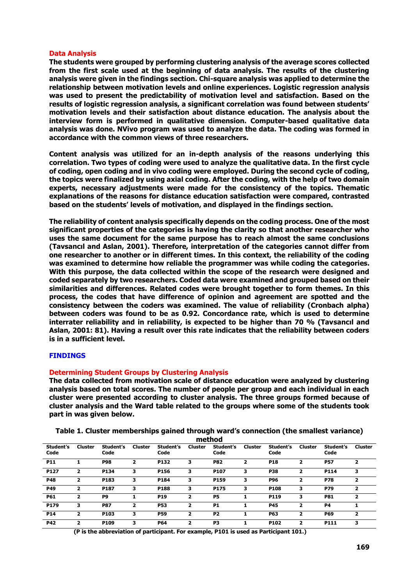#### **Data Analysis**

**The students were grouped by performing clustering analysis of the average scores collected from the first scale used at the beginning of data analysis. The results of the clustering analysis were given in the findings section. Chi-square analysis was applied to determine the relationship between motivation levels and online experiences. Logistic regression analysis was used to present the predictability of motivation level and satisfaction. Based on the results of logistic regression analysis, a significant correlation was found between students' motivation levels and their satisfaction about distance education. The analysis about the interview form is performed in qualitative dimension. Computer-based qualitative data analysis was done. NVivo program was used to analyze the data. The coding was formed in accordance with the common views of three researchers.**

**Content analysis was utilized for an in-depth analysis of the reasons underlying this correlation. Two types of coding were used to analyze the qualitative data. In the first cycle of coding, open coding and in vivo coding were employed. During the second cycle of coding, the topics were finalized by using axial coding. After the coding, with the help of two domain experts, necessary adjustments were made for the consistency of the topics. Thematic explanations of the reasons for distance education satisfaction were compared, contrasted based on the students' levels of motivation, and displayed in the findings section.** 

**The reliability of content analysis specifically depends on the coding process. One of the most significant properties of the categories is having the clarity so that another researcher who uses the same document for the same purpose has to reach almost the same conclusions (Tavsancıl and Aslan, 2001). Therefore, interpretation of the categories cannot differ from one researcher to another or in different times. In this context, the reliability of the coding was examined to determine how reliable the programmer was while coding the categories. With this purpose, the data collected within the scope of the research were designed and coded separately by two researchers. Coded data were examined and grouped based on their similarities and differences. Related codes were brought together to form themes. In this process, the codes that have difference of opinion and agreement are spotted and the consistency between the coders was examined. The value of reliability (Cronbach alpha) between coders was found to be as 0.92. Concordance rate, which is used to determine interrater reliability and in reliability, is expected to be higher than 70 % (Tavsancıl and Aslan, 2001: 81). Having a result over this rate indicates that the reliability between coders is in a sufficient level.**

#### **FINDINGS**

#### **Determining Student Groups by Clustering Analysis**

**The data collected from motivation scale of distance education were analyzed by clustering analysis based on total scores. The number of people per group and each individual in each cluster were presented according to cluster analysis. The three groups formed because of cluster analysis and the Ward table related to the groups where some of the students took part in was given below.**

| Student's<br>Code | <b>Cluster</b> | Student's<br>Code | <b>Cluster</b> | Student's<br>Code | <b>Cluster</b> | Student's<br>Code | <b>Cluster</b> | Student's<br>Code | <b>Cluster</b>          | Student's<br>Code | Cluster |
|-------------------|----------------|-------------------|----------------|-------------------|----------------|-------------------|----------------|-------------------|-------------------------|-------------------|---------|
| <b>P11</b>        |                | <b>P98</b>        | 2              | P132              | 3              | <b>P82</b>        | 2              | <b>P18</b>        | $\overline{2}$          | <b>P57</b>        | 2       |
| P127              | 2              | P134              | 3              | P156              | з              | P107              | 3              | <b>P38</b>        | 2                       | P114              | з       |
| <b>P48</b>        | 2              | P183              | 3              | P184              | 3              | P159              | з              | <b>P96</b>        | ,                       | <b>P78</b>        | 2       |
| <b>P49</b>        | 2              | P187              | з              | P188              | 3              | P175              | 3              | P108              | 3                       | <b>P79</b>        | 2       |
| <b>P61</b>        | 2              | P9                |                | <b>P19</b>        | 2              | <b>P5</b>         |                | P119              | з                       | <b>P81</b>        | ,       |
| P179              | з              | <b>P87</b>        | 2              | <b>P53</b>        | 2              | <b>P1</b>         |                | <b>P45</b>        | $\overline{2}$          | <b>P4</b>         |         |
| P <sub>14</sub>   | 2              | P <sub>103</sub>  | з              | <b>P59</b>        | 2              | P <sub>2</sub>    |                | <b>P63</b>        | $\overline{\mathbf{2}}$ | <b>P69</b>        | 2       |
| <b>P42</b>        |                | P109              | з              | <b>P64</b>        |                | P3                |                | P102              | 2                       | P111              | з       |

**Table 1. Cluster memberships gained through ward's connection (the smallest variance) method**

**(P is the abbreviation of participant. For example, P101 is used as Participant 101.)**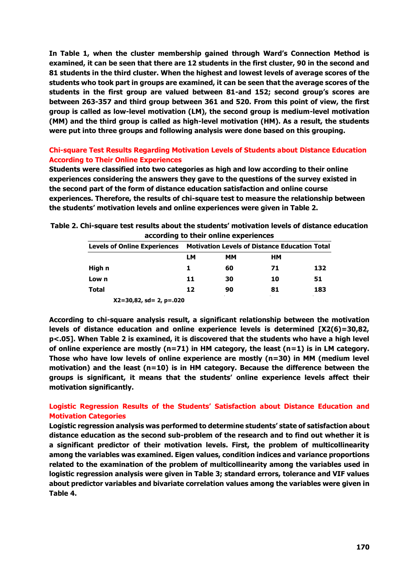**In Table 1, when the cluster membership gained through Ward's Connection Method is examined, it can be seen that there are 12 students in the first cluster, 90 in the second and 81 students in the third cluster. When the highest and lowest levels of average scores of the students who took part in groups are examined, it can be seen that the average scores of the students in the first group are valued between 81-and 152; second group's scores are between 263-357 and third group between 361 and 520. From this point of view, the first group is called as low-level motivation (LM), the second group is medium-level motivation (MM) and the third group is called as high-level motivation (HM). As a result, the students were put into three groups and following analysis were done based on this grouping.**

# **Chi-square Test Results Regarding Motivation Levels of Students about Distance Education According to Their Online Experiences**

**Students were classified into two categories as high and low according to their online experiences considering the answers they gave to the questions of the survey existed in the second part of the form of distance education satisfaction and online course experiences. Therefore, the results of chi-square test to measure the relationship between the students' motivation levels and online experiences were given in Table 2.**

**Table 2. Chi-square test results about the students' motivation levels of distance education according to their online experiences**

| <b>Levels of Online Experiences</b> | <b>Motivation Levels of Distance Education Total</b> |    |    |     |  |  |
|-------------------------------------|------------------------------------------------------|----|----|-----|--|--|
|                                     | LМ                                                   | MМ | ΗМ |     |  |  |
| High n                              |                                                      | 60 | 71 | 132 |  |  |
| Low n                               | 11                                                   | 30 | 10 | 51  |  |  |
| <b>Total</b>                        | 12                                                   | 90 | 81 | 183 |  |  |
| $X2 = 30,82$ , sd = 2, p = 020      |                                                      |    |    |     |  |  |

**According to chi-square analysis result, a significant relationship between the motivation levels of distance education and online experience levels is determined [X2(6)=30,82, p<.05]. When Table 2 is examined, it is discovered that the students who have a high level of online experience are mostly (n=71) in HM category, the least (n=1) is in LM category. Those who have low levels of online experience are mostly (n=30) in MM (medium level motivation) and the least (n=10) is in HM category. Because the difference between the groups is significant, it means that the students' online experience levels affect their motivation significantly.**

# **Logistic Regression Results of the Students' Satisfaction about Distance Education and Motivation Categories**

**Logistic regression analysis was performed to determine students' state of satisfaction about distance education as the second sub-problem of the research and to find out whether it is a significant predictor of their motivation levels. First, the problem of multicollinearity among the variables was examined. Eigen values, condition indices and variance proportions related to the examination of the problem of multicollinearity among the variables used in logistic regression analysis were given in Table 3; standard errors, tolerance and VIF values about predictor variables and bivariate correlation values among the variables were given in Table 4.**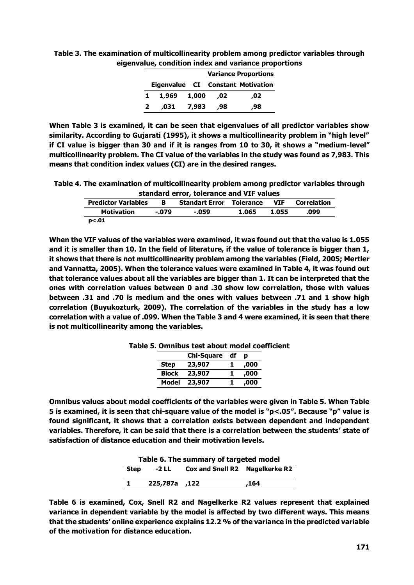| Table 3. The examination of multicollinearity problem among predictor variables through |
|-----------------------------------------------------------------------------------------|
| eigenvalue, condition index and variance proportions                                    |

|              | <b>Variance Proportions</b> |       |     |                                   |  |  |  |
|--------------|-----------------------------|-------|-----|-----------------------------------|--|--|--|
|              |                             |       |     | Eigenvalue CI Constant Motivation |  |  |  |
| 1.           | 1,969 1,000                 |       | .02 | .02                               |  |  |  |
| $\mathbf{2}$ | .031                        | 7,983 | .98 | ,98                               |  |  |  |

**When Table 3 is examined, it can be seen that eigenvalues of all predictor variables show similarity. According to Gujarati (1995), it shows a multicollinearity problem in "high level" if CI value is bigger than 30 and if it is ranges from 10 to 30, it shows a "medium-level" multicollinearity problem. The CI value of the variables in the study was found as 7,983. This means that condition index values (CI) are in the desired ranges.** 

**Table 4. The examination of multicollinearity problem among predictor variables through standard error, tolerance and VIF values**

| <b>Predictor Variables</b> | B.      | <b>Standart Error Tolerance</b> |       | VIF.  | <b>Correlation</b> |
|----------------------------|---------|---------------------------------|-------|-------|--------------------|
| <b>Motivation</b>          | $-.079$ | $-.059$                         | 1.065 | 1.055 | .099               |
| p<.01                      |         |                                 |       |       |                    |

**When the VIF values of the variables were examined, it was found out that the value is 1.055 and it is smaller than 10. In the field of literature, if the value of tolerance is bigger than 1, it shows that there is not multicollinearity problem among the variables (Field, 2005; Mertler and Vannatta, 2005). When the tolerance values were examined in Table 4, it was found out that tolerance values about all the variables are bigger than 1. It can be interpreted that the ones with correlation values between 0 and .30 show low correlation, those with values between .31 and .70 is medium and the ones with values between .71 and 1 show high correlation (Buyukozturk, 2009). The correlation of the variables in the study has a low correlation with a value of .099. When the Table 3 and 4 were examined, it is seen that there is not multicollinearity among the variables.**

|              | <b>Chi-Square</b> | df | D    |
|--------------|-------------------|----|------|
| <b>Step</b>  | 23,907            |    | ,000 |
| <b>Block</b> | 23,907            |    | ,000 |
| Model        | 23,907            |    | ,000 |

**Table 5. Omnibus test about model coefficient**

**Omnibus values about model coefficients of the variables were given in Table 5. When Table 5 is examined, it is seen that chi-square value of the model is "p<.05". Because "p" value is found significant, it shows that a correlation exists between dependent and independent variables. Therefore, it can be said that there is a correlation between the students' state of satisfaction of distance education and their motivation levels.**

| Table 6. The summary of targeted model |               |                                |      |  |  |  |  |
|----------------------------------------|---------------|--------------------------------|------|--|--|--|--|
| <b>Step</b>                            | -2 LL         | Cox and Snell R2 Nagelkerke R2 |      |  |  |  |  |
|                                        | 122, 225,787a |                                | .164 |  |  |  |  |

**Table 6 is examined, Cox, Snell R2 and Nagelkerke R2 values represent that explained variance in dependent variable by the model is affected by two different ways. This means that the students' online experience explains 12.2 % of the variance in the predicted variable of the motivation for distance education.**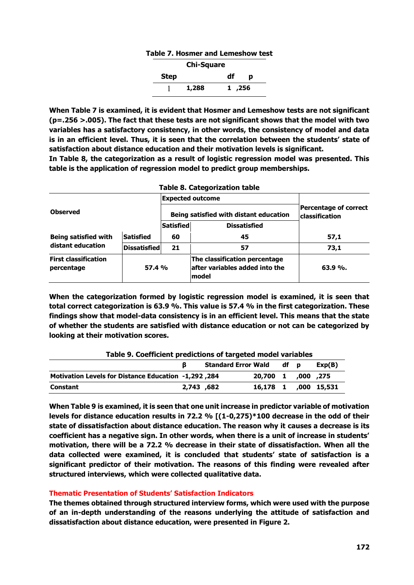# **Table 7. Hosmer and Lemeshow test Step Chi-Square df p** 1 **1,288 1 ,256**

**When Table 7 is examined, it is evident that Hosmer and Lemeshow tests are not significant (p=.256 >.005). The fact that these tests are not significant shows that the model with two variables has a satisfactory consistency, in other words, the consistency of model and data is in an efficient level. Thus, it is seen that the correlation between the students' state of satisfaction about distance education and their motivation levels is significant.** 

**In Table 8, the categorization as a result of logistic regression model was presented. This table is the application of regression model to predict group memberships.**

**Table 8. Categorization table**

|                                                     |                     |           | rabie o. Categorization table                                             |                                                |  |  |
|-----------------------------------------------------|---------------------|-----------|---------------------------------------------------------------------------|------------------------------------------------|--|--|
|                                                     |                     |           | <b>Expected outcome</b>                                                   |                                                |  |  |
| <b>Observed</b>                                     |                     |           | Being satisfied with distant education                                    | Percentage of correct<br><b>classification</b> |  |  |
|                                                     |                     | Satisfied | <b>Dissatisfied</b>                                                       |                                                |  |  |
| <b>Being satisfied with</b>                         | <b>Satisfied</b>    | 60        | 45                                                                        | 57,1                                           |  |  |
| distant education                                   | <b>Dissatisfied</b> | 21        | 57                                                                        | 73,1                                           |  |  |
| <b>First classification</b><br>57.4 %<br>percentage |                     |           | The classification percentage<br>after variables added into the<br>lmodel | $63.9\%$ .                                     |  |  |

**When the categorization formed by logistic regression model is examined, it is seen that total correct categorization is 63.9 %. This value is 57.4 % in the first categorization. These findings show that model-data consistency is in an efficient level. This means that the state of whether the students are satisfied with distance education or not can be categorized by looking at their motivation scores.**

| <u>rapie 5. Coerricient pregictions or targeted moder variables</u> |            |                            |                      |      |  |        |  |  |
|---------------------------------------------------------------------|------------|----------------------------|----------------------|------|--|--------|--|--|
|                                                                     |            | <b>Standard Error Wald</b> |                      | df p |  | Exp(B) |  |  |
| Aotivation Levels for Distance Education -1,292,284                 |            |                            | 20.700 1 ,000 ,275   |      |  |        |  |  |
| <b>Constant</b>                                                     | 2,743 ,682 |                            | 16,178 1 ,000 15,531 |      |  |        |  |  |

# **Table 9. Coefficient predictions of targeted model variables**

**When Table 9 is examined, it is seen that one unit increase in predictor variable of motivation levels for distance education results in 72.2 % [(1-0,275)\*100 decrease in the odd of their state of dissatisfaction about distance education. The reason why it causes a decrease is its coefficient has a negative sign. In other words, when there is a unit of increase in students' motivation, there will be a 72.2 % decrease in their state of dissatisfaction. When all the data collected were examined, it is concluded that students' state of satisfaction is a significant predictor of their motivation. The reasons of this finding were revealed after structured interviews, which were collected qualitative data.** 

# **Thematic Presentation of Students' Satisfaction Indicators**

**The themes obtained through structured interview forms, which were used with the purpose of an in-depth understanding of the reasons underlying the attitude of satisfaction and dissatisfaction about distance education, were presented in Figure 2.**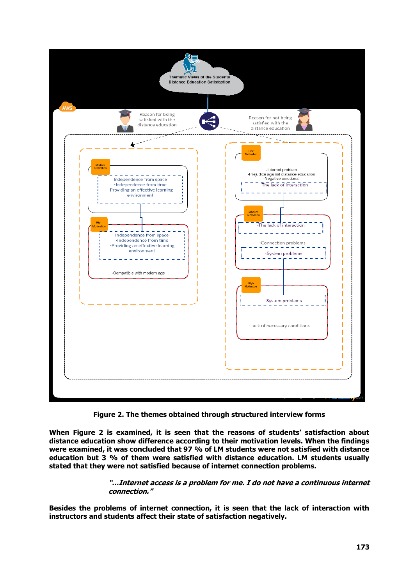

**Figure 2. The themes obtained through structured interview forms**

**When Figure 2 is examined, it is seen that the reasons of students' satisfaction about distance education show difference according to their motivation levels. When the findings were examined, it was concluded that 97 % of LM students were not satisfied with distance education but 3 % of them were satisfied with distance education. LM students usually stated that they were not satisfied because of internet connection problems.** 

# **"…Internet access is a problem for me. I do not have a continuous internet connection."**

**Besides the problems of internet connection, it is seen that the lack of interaction with instructors and students affect their state of satisfaction negatively.**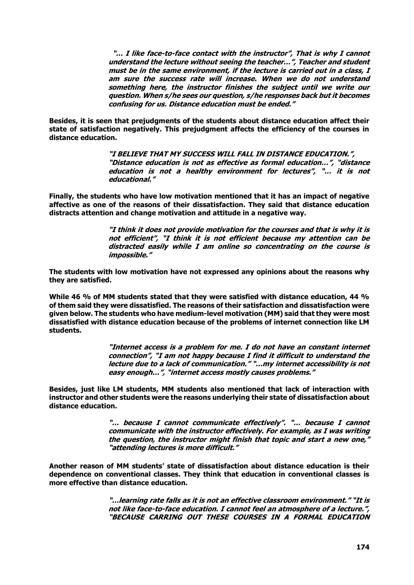**"… I like face-to-face contact with the instructor", That is why I cannot understand the lecture without seeing the teacher…", Teacher and student must be in the same environment, if the lecture is carried out in a class, I am sure the success rate will increase. When we do not understand something here, the instructor finishes the subject until we write our question. When s/he sees our question, s/he responses back but it becomes confusing for us. Distance education must be ended."**

**Besides, it is seen that prejudgments of the students about distance education affect their state of satisfaction negatively. This prejudgment affects the efficiency of the courses in distance education.**

> **"I BELIEVE THAT MY SUCCESS WILL FALL IN DISTANCE EDUCATION.", "Distance education is not as effective as formal education…", "distance education is not a healthy environment for lectures", "… it is not educational."**

**Finally, the students who have low motivation mentioned that it has an impact of negative affective as one of the reasons of their dissatisfaction. They said that distance education distracts attention and change motivation and attitude in a negative way.**

> **"I think it does not provide motivation for the courses and that is why it is not efficient", "I think it is not efficient because my attention can be distracted easily while I am online so concentrating on the course is impossible."**

**The students with low motivation have not expressed any opinions about the reasons why they are satisfied.**

**While 46 % of MM students stated that they were satisfied with distance education, 44 % of them said they were dissatisfied. The reasons of their satisfaction and dissatisfaction were given below. The students who have medium-level motivation (MM) said that they were most dissatisfied with distance education because of the problems of internet connection like LM students.**

> **"Internet access is a problem for me. I do not have an constant internet connection", "I am not happy because I find it difficult to understand the lecture due to a lack of communication." "…my internet accessibility is not easy enough…", "internet access mostly causes problems."**

**Besides, just like LM students, MM students also mentioned that lack of interaction with instructor and other students were the reasons underlying their state of dissatisfaction about distance education.**

> **"… because I cannot communicate effectively". "… because I cannot communicate with the instructor effectively. For example, as I was writing the question, the instructor might finish that topic and start a new one," "attending lectures is more difficult."**

**Another reason of MM students' state of dissatisfaction about distance education is their dependence on conventional classes. They think that education in conventional classes is more effective than distance education.**

> **"…learning rate falls as it is not an effective classroom environment." "It is not like face-to-face education. I cannot feel an atmosphere of a lecture.", "BECAUSE CARRING OUT THESE COURSES IN A FORMAL EDUCATION**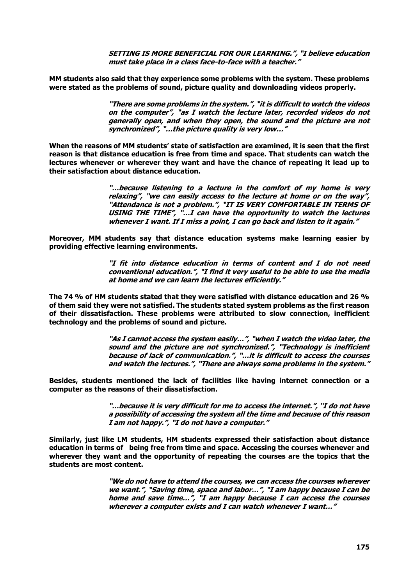**SETTING IS MORE BENEFICIAL FOR OUR LEARNING.", "I believe education must take place in a class face-to-face with a teacher."**

**MM students also said that they experience some problems with the system. These problems were stated as the problems of sound, picture quality and downloading videos properly.**

> **"There are some problems in the system.", "it is difficult to watch the videos on the computer", "as I watch the lecture later, recorded videos do not generally open, and when they open, the sound and the picture are not synchronized", "…the picture quality is very low…"**

**When the reasons of MM students' state of satisfaction are examined, it is seen that the first reason is that distance education is free from time and space. That students can watch the lectures whenever or wherever they want and have the chance of repeating it lead up to their satisfaction about distance education.** 

> **"…because listening to a lecture in the comfort of my home is very relaxing", "we can easily access to the lecture at home or on the way", "Attendance is not a problem.", "IT IS VERY COMFORTABLE IN TERMS OF USING THE TIME", "…I can have the opportunity to watch the lectures whenever I want. If I miss a point, I can go back and listen to it again."**

**Moreover, MM students say that distance education systems make learning easier by providing effective learning environments.**

> **"I fit into distance education in terms of content and I do not need conventional education.", "I find it very useful to be able to use the media at home and we can learn the lectures efficiently."**

**The 74 % of HM students stated that they were satisfied with distance education and 26 % of them said they were not satisfied. The students stated system problems as the first reason of their dissatisfaction. These problems were attributed to slow connection, inefficient technology and the problems of sound and picture.** 

> **"As I cannot access the system easily…", "when I watch the video later, the sound and the picture are not synchronized.", "Technology is inefficient because of lack of communication.", "…it is difficult to access the courses and watch the lectures.", "There are always some problems in the system."**

**Besides, students mentioned the lack of facilities like having internet connection or a computer as the reasons of their dissatisfaction.**

> **"…because it is very difficult for me to access the internet.", "I do not have a possibility of accessing the system all the time and because of this reason I am not happy.", "I do not have a computer."**

**Similarly, just like LM students, HM students expressed their satisfaction about distance education in terms of being free from time and space. Accessing the courses whenever and wherever they want and the opportunity of repeating the courses are the topics that the students are most content.**

> **"We do not have to attend the courses, we can access the courses wherever we want.", "Saving time, space and labor…", "I am happy because I can be home and save time…", "I am happy because I can access the courses wherever a computer exists and I can watch whenever I want…"**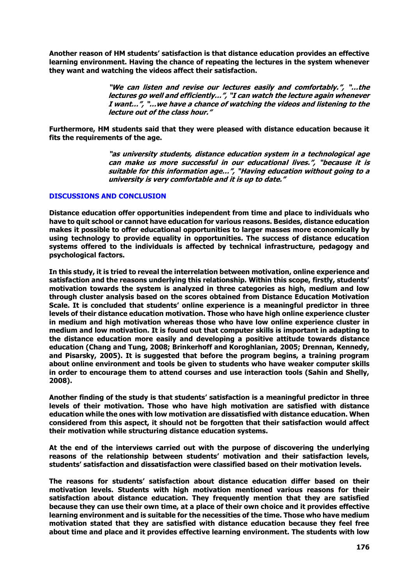**Another reason of HM students' satisfaction is that distance education provides an effective learning environment. Having the chance of repeating the lectures in the system whenever they want and watching the videos affect their satisfaction.**

> **"We can listen and revise our lectures easily and comfortably.", "…the lectures go well and efficiently…", "I can watch the lecture again whenever I want…", "…we have a chance of watching the videos and listening to the lecture out of the class hour."**

**Furthermore, HM students said that they were pleased with distance education because it fits the requirements of the age.**

> **"as university students, distance education system in a technological age can make us more successful in our educational lives.", "because it is suitable for this information age…", "Having education without going to a university is very comfortable and it is up to date."**

## **DISCUSSIONS AND CONCLUSION**

**Distance education offer opportunities independent from time and place to individuals who have to quit school or cannot have education for various reasons. Besides, distance education makes it possible to offer educational opportunities to larger masses more economically by using technology to provide equality in opportunities. The success of distance education systems offered to the individuals is affected by technical infrastructure, pedagogy and psychological factors.** 

**In this study, it is tried to reveal the interrelation between motivation, online experience and satisfaction and the reasons underlying this relationship. Within this scope, firstly, students' motivation towards the system is analyzed in three categories as high, medium and low through cluster analysis based on the scores obtained from Distance Education Motivation Scale. It is concluded that students' online experience is a meaningful predictor in three levels of their distance education motivation. Those who have high online experience cluster in medium and high motivation whereas those who have low online experience cluster in medium and low motivation. It is found out that computer skills is important in adapting to the distance education more easily and developing a positive attitude towards distance education (Chang and Tung, 2008; Brinkerhoff and Koroghlanian, 2005; Drennan, Kennedy, and Pisarsky, 2005). It is suggested that before the program begins, a training program about online environment and tools be given to students who have weaker computer skills in order to encourage them to attend courses and use interaction tools (Sahin and Shelly, 2008).**

**Another finding of the study is that students' satisfaction is a meaningful predictor in three levels of their motivation. Those who have high motivation are satisfied with distance education while the ones with low motivation are dissatisfied with distance education. When considered from this aspect, it should not be forgotten that their satisfaction would affect their motivation while structuring distance education systems.** 

**At the end of the interviews carried out with the purpose of discovering the underlying reasons of the relationship between students' motivation and their satisfaction levels, students' satisfaction and dissatisfaction were classified based on their motivation levels.** 

**The reasons for students' satisfaction about distance education differ based on their motivation levels. Students with high motivation mentioned various reasons for their satisfaction about distance education. They frequently mention that they are satisfied because they can use their own time, at a place of their own choice and it provides effective learning environment and is suitable for the necessities of the time. Those who have medium motivation stated that they are satisfied with distance education because they feel free about time and place and it provides effective learning environment. The students with low**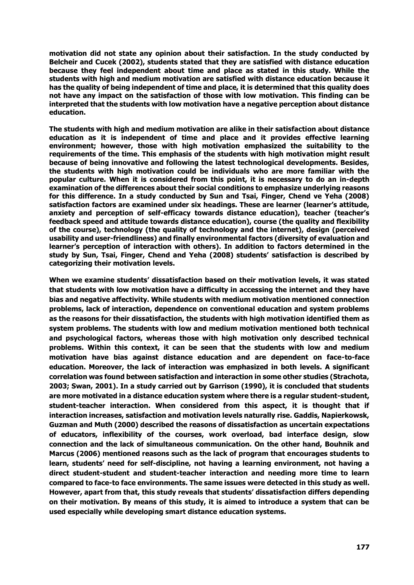**motivation did not state any opinion about their satisfaction. In the study conducted by Belcheir and Cucek (2002), students stated that they are satisfied with distance education because they feel independent about time and place as stated in this study. While the students with high and medium motivation are satisfied with distance education because it has the quality of being independent of time and place, it is determined that this quality does not have any impact on the satisfaction of those with low motivation. This finding can be interpreted that the students with low motivation have a negative perception about distance education.** 

**The students with high and medium motivation are alike in their satisfaction about distance education as it is independent of time and place and it provides effective learning environment; however, those with high motivation emphasized the suitability to the requirements of the time. This emphasis of the students with high motivation might result because of being innovative and following the latest technological developments. Besides, the students with high motivation could be individuals who are more familiar with the popular culture. When it is considered from this point, it is necessary to do an in-depth examination of the differences about their social conditions to emphasize underlying reasons for this difference. In a study conducted by Sun and Tsai, Finger, Chend ve Yeha (2008) satisfaction factors are examined under six headings. These are learner (learner's attitude, anxiety and perception of self-efficacy towards distance education), teacher (teacher's feedback speed and attitude towards distance education), course (the quality and flexibility of the course), technology (the quality of technology and the internet), design (perceived usability and user-friendliness) and finally environmental factors (diversity of evaluation and learner's perception of interaction with others). In addition to factors determined in the study by Sun, Tsai, Finger, Chend and Yeha (2008) students' satisfaction is described by categorizing their motivation levels.** 

**When we examine students' dissatisfaction based on their motivation levels, it was stated that students with low motivation have a difficulty in accessing the internet and they have bias and negative affectivity. While students with medium motivation mentioned connection problems, lack of interaction, dependence on conventional education and system problems as the reasons for their dissatisfaction, the students with high motivation identified them as system problems. The students with low and medium motivation mentioned both technical and psychological factors, whereas those with high motivation only described technical problems. Within this context, it can be seen that the students with low and medium motivation have bias against distance education and are dependent on face-to-face education. Moreover, the lack of interaction was emphasized in both levels. A significant correlation was found between satisfaction and interaction in some other studies (Strachota, 2003; Swan, 2001). In a study carried out by Garrison (1990), it is concluded that students are more motivated in a distance education system where there is a regular student-student, student-teacher interaction. When considered from this aspect, it is thought that if interaction increases, satisfaction and motivation levels naturally rise. Gaddis, Napierkowsk, Guzman and Muth (2000) described the reasons of dissatisfaction as uncertain expectations of educators, inflexibility of the courses, work overload, bad interface design, slow connection and the lack of simultaneous communication. On the other hand, Bouhnik and Marcus (2006) mentioned reasons such as the lack of program that encourages students to learn, students' need for self-discipline, not having a learning environment, not having a direct student-student and student-teacher interaction and needing more time to learn compared to face-to face environments. The same issues were detected in this study as well. However, apart from that, this study reveals that students' dissatisfaction differs depending on their motivation. By means of this study, it is aimed to introduce a system that can be used especially while developing smart distance education systems.**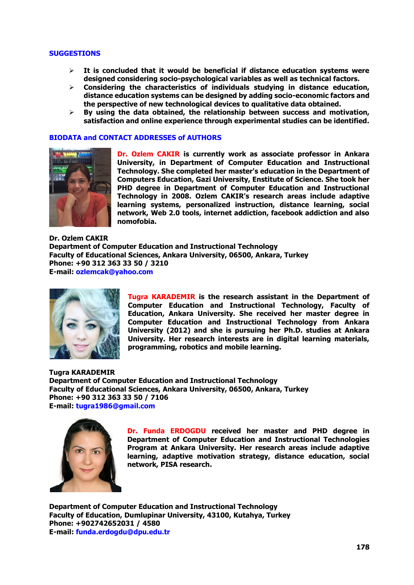## **SUGGESTIONS**

- **It is concluded that it would be beneficial if distance education systems were designed considering socio-psychological variables as well as technical factors.**
- **Considering the characteristics of individuals studying in distance education, distance education systems can be designed by adding socio-economic factors and the perspective of new technological devices to qualitative data obtained.**
- **By using the data obtained, the relationship between success and motivation, satisfaction and online experience through experimental studies can be identified.**

#### **BIODATA and CONTACT ADDRESSES of AUTHORS**



**Dr. Ozlem CAKIR is currently work as associate professor in Ankara University, in Department of Computer Education and Instructional Technology. She completed her master's education in the Department of Computers Education, Gazi University, Enstitute of Science. She took her PHD degree in Department of Computer Education and Instructional Technology in 2008. Ozlem CAKIR's research areas include adaptive learning systems, personalized instruction, distance learning, social network, Web 2.0 tools, internet addiction, facebook addiction and also nomofobia.**

**Dr. Ozlem CAKIR Department of Computer Education and Instructional Technology Faculty of Educational Sciences, Ankara University, 06500, Ankara, Turkey Phone: +90 312 363 33 50 / 3210 E-mail: ozlemcak@yahoo.com**



**Tugra KARADEMIR is the research assistant in the Department of Computer Education and Instructional Technology, Faculty of Education, Ankara University. She received her master degree in Computer Education and Instructional Technology from Ankara University (2012) and she is pursuing her Ph.D. studies at Ankara University. Her research interests are in digital learning materials, programming, robotics and mobile learning.**

**Tugra KARADEMIR Department of Computer Education and Instructional Technology Faculty of Educational Sciences, Ankara University, 06500, Ankara, Turkey Phone: +90 312 363 33 50 / 7106 E-mail: tugra1986@gmail.com**



**Dr. Funda ERDOGDU received her master and PHD degree in Department of Computer Education and Instructional Technologies Program at Ankara University. Her research areas include adaptive learning, adaptive motivation strategy, distance education, social network, PISA research.**

**Department of Computer Education and Instructional Technology Faculty of Education, Dumlupinar University, 43100, Kutahya, Turkey Phone: +902742652031 / 4580 E-mail: funda.erdogdu@dpu.edu.tr**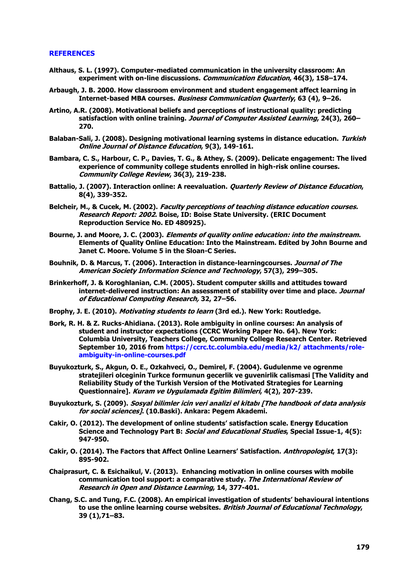# **REFERENCES**

- **Althaus, S. L. (1997). Computer-mediated communication in the university classroom: An experiment with on-line discussions. Communication Education, 46(3), 158–174.**
- **Arbaugh, J. B. 2000. How classroom environment and student engagement affect learning in Internet-based MBA courses. Business Communication Quarterly, 63 (4), 9–26.**
- **Artino, A.R. (2008). Motivational beliefs and perceptions of instructional quality: predicting satisfaction with online training. Journal of Computer Assisted Learning, 24(3), 260– 270.**
- **Balaban-Sali, J. (2008). Designing motivational learning systems in distance education. Turkish Online Journal of Distance Education, 9(3), 149-161.**
- **Bambara, C. S., Harbour, C. P., Davies, T. G., & Athey, S. (2009). Delicate engagement: The lived experience of community college students enrolled in high-risk online courses. Community College Review, 36(3), 219-238.**
- **Battalio, J. (2007). Interaction online: A reevaluation. Quarterly Review of Distance Education, 8(4), 339-352.**
- **Belcheir, M., & Cucek, M. (2002). Faculty perceptions of teaching distance education courses. Research Report: 2002. Boise, ID: Boise State University. (ERIC Document Reproduction Service No. ED 480925).**
- **Bourne, J. and Moore, J. C. (2003). Elements of quality online education: into the mainstream. Elements of Quality Online Education: Into the Mainstream. Edited by John Bourne and Janet C. Moore. Volume 5 in the Sloan-C Series.**
- **Bouhnik, D. & Marcus, T. (2006). Interaction in distance-learningcourses. Journal of The American Society Information Science and Technology, 57(3), 299–305.**
- **Brinkerhoff, J. & Koroghlanian, C.M. (2005). Student computer skills and attitudes toward internet-delivered instruction: An assessment of stability over time and place. Journal of Educational Computing Research, 32, 27–56.**
- **Brophy, J. E. (2010). Motivating students to learn (3rd ed.). New York: Routledge.**
- **Bork, R. H. & Z. Rucks-Ahidiana. (2013). Role ambiguity in online courses: An analysis of student and instructor expectations (CCRC Working Paper No. 64). New York: Columbia University, Teachers College, Community College Research Center. Retrieved September 10, 2016 from https://ccrc.tc.columbia.edu/media/k2/ attachments/roleambiguity-in-online-courses.pdf**
- **Buyukozturk, S., Akgun, O. E., Ozkahveci, O., Demirel, F. (2004). Gudulenme ve ogrenme stratejileri olceginin Turkce formunun gecerlik ve guvenirlik calismasi [The Validity and Reliability Study of the Turkish Version of the Motivated Strategies for Learning Questionnaire]. Kuram ve Uygulamada Egitim Bilimleri, 4(2), 207-239.**
- **Buyukozturk, S. (2009). Sosyal bilimler icin veri analizi el kitabı [The handbook of data analysis for social sciences]. (10.Baski). Ankara: Pegem Akademi.**
- **Cakir, O. (2012). The development of online students' satisfaction scale. Energy Education Science and Technology Part B: Social and Educational Studies, Special Issue-1, 4(5): 947-950.**
- **Cakir, O. (2014). The Factors that Affect Online Learners' Satisfaction. Anthropologist, 17(3): 895-902.**
- **Chaiprasurt, C. & Esichaikul, V. (2013). Enhancing motivation in online courses with mobile communication tool support: a comparative study. The International Review of Research in Open and Distance Learning, 14, 377-401.**
- **Chang, S.C. and Tung, F.C. (2008). An empirical investigation of students' behavioural intentions to use the online learning course websites. British Journal of Educational Technology, 39 (1),71–83.**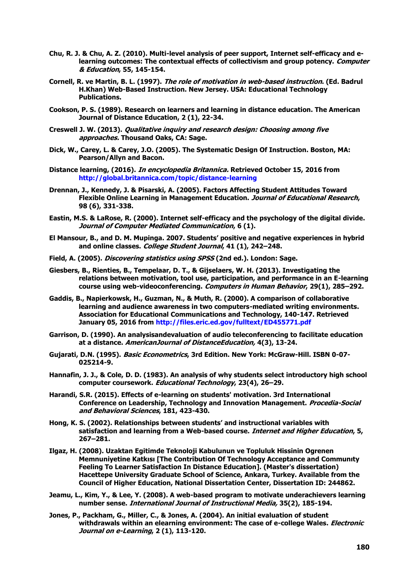- **Chu, R. J. & Chu, A. Z. (2010). Multi-level analysis of peer support, Internet self-efficacy and elearning outcomes: The contextual effects of collectivism and group potency. Computer & Education, 55, 145-154.**
- **Cornell, R. ve Martin, B. L. (1997). The role of motivation in web-based instruction. (Ed. Badrul H.Khan) Web-Based Instruction. New Jersey. USA: Educational Technology Publications.**
- **Cookson, P. S. (1989). Research on learners and learning in distance education. The American Journal of Distance Education, 2 (1), 22-34.**
- **Creswell J. W. (2013). Qualitative inquiry and research design: Choosing among five approaches. Thousand Oaks, CA: Sage.**
- **Dick, W., Carey, L. & Carey, J.O. (2005). The Systematic Design Of Instruction. Boston, MA: Pearson/Allyn and Bacon.**
- **Distance learning, (2016). In encyclopedia Britannica. Retrieved October 15, 2016 from http://global.britannica.com/topic/distance-learning**
- **Drennan, J., Kennedy, J. & Pisarski, A. (2005). Factors Affecting Student Attitudes Toward Flexible Online Learning in Management Education. Journal of Educational Research, 98 (6), 331-338.**
- **Eastin, M.S. & LaRose, R. (2000). Internet self-efficacy and the psychology of the digital divide. Journal of Computer Mediated Communication, 6 (1).**
- **El Mansour, B., and D. M. Mupinga. 2007. Students' positive and negative experiences in hybrid and online classes. College Student Journal, 41 (1), 242–248.**
- **Field, A. (2005). Discovering statistics using SPSS (2nd ed.). London: Sage.**
- **Giesbers, B., Rienties, B., Tempelaar, D. T., & Gijselaers, W. H. (2013). Investigating the relations between motivation, tool use, participation, and performance in an E-learning course using web-videoconferencing. Computers in Human Behavior, 29(1), 285–292.**
- **Gaddis, B., Napierkowsk, H., Guzman, N., & Muth, R. (2000). A comparison of collaborative learning and audience awareness in two computers-mediated writing environments. Association for Educational Communications and Technology, 140-147. Retrieved January 05, 2016 from http://files.eric.ed.gov/fulltext/ED455771.pdf**
- **Garrison, D. (1990). An analysisandevaluation of audio teleconferencing to facilitate education at a distance. AmericanJournal of DistanceEducation, 4(3), 13-24.**
- **Gujarati, D.N. (1995). Basic Econometrics, 3rd Edition. New York: McGraw-Hill. ISBN 0-07- 025214-9.**
- **Hannafin, J. J., & Cole, D. D. (1983). An analysis of why students select introductory high school computer coursework. Educational Technology, 23(4), 26–29.**
- **Harandi, S.R. (2015). Effects of e-learning on students' motivation. 3rd International Conference on Leadership, Technology and Innovation Management. Procedia-Social and Behavioral Sciences, 181, 423-430.**
- **Hong, K. S. (2002). Relationships between students' and instructional variables with satisfaction and learning from a Web-based course. Internet and Higher Education, 5, 267–281.**
- **Ilgaz, H. (2008). Uzaktan Egitimde Teknoloji Kabulunun ve Topluluk Hissinin Ogrenen Memnuniyetine Katkısı [The Contribution Of Technology Acceptance and Communıty Feeling To Learner Satisfaction In Distance Education]. (Master's dissertation) Hacettepe University Graduate School of Science, Ankara, Turkey. Available from the Council of Higher Education, National Dissertation Center, Dissertation ID: 244862.**
- **Jeamu, L., Kim, Y., & Lee, Y. (2008). A web-based program to motivate underachievers learning number sense. International Journal of Instructional Media, 35(2), 185-194.**
- **Jones, P., Packham, G., Miller, C., & Jones, A. (2004). An initial evaluation of student withdrawals within an elearning environment: The case of e-college Wales. Electronic Journal on e-Learning, 2 (1), 113-120.**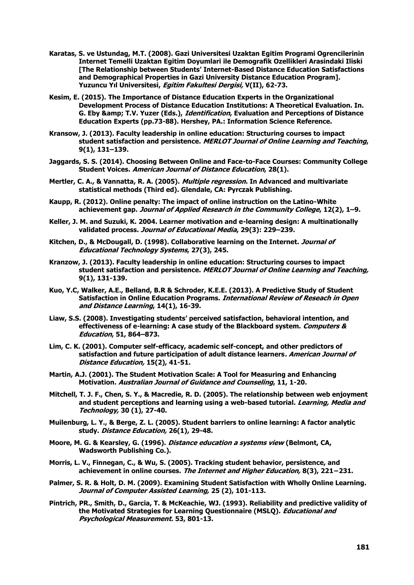- **Karatas, S. ve Ustundag, M.T. (2008). Gazi Universitesi Uzaktan Egitim Programi Ogrencilerinin Internet Temelli Uzaktan Egitim Doyumlari ile Demografik Ozellikleri Arasindaki Iliski [The Relationship between Students' Internet-Based Distance Education Satisfactions and Demographical Properties in Gazi University Distance Education Program]. Yuzuncu Yıl Universitesi, Egitim Fakultesi Dergisi, V(II), 62-73.**
- **Kesim, E. (2015). The Importance of Distance Education Experts in the Organizational Development Process of Distance Education Institutions: A Theoretical Evaluation. In. G. Eby & T.V. Yuzer (Eds.), Identification, Evaluation and Perceptions of Distance Education Experts (pp.73-88). Hershey, PA.: Information Science Reference.**
- **Kransow, J. (2013). Faculty leadership in online education: Structuring courses to impact student satisfaction and persistence. MERLOT Journal of Online Learning and Teaching, 9(1), 131–139.**
- **Jaggards, S. S. (2014). Choosing Between Online and Face-to-Face Courses: Community College Student Voices. American Journal of Distance Education, 28(1).**
- **Mertler, C. A., & Vannatta, R. A. (2005). Multiple regression. In Advanced and multivariate statistical methods (Third ed). Glendale, CA: Pyrczak Publishing.**
- **Kaupp, R. (2012). Online penalty: The impact of online instruction on the Latino-White achievement gap. Journal of Applied Research in the Community College, 12(2), 1–9.**
- **Keller, J. M. and Suzuki, K. 2004. Learner motivation and e-learning design: A multinationally validated process. Journal of Educational Media, 29(3): 229–239.**
- **Kitchen, D., & McDougall, D. (1998). Collaborative learning on the Internet. Journal of Educational Technology Systems, 27(3), 245.**
- **Kranzow, J. (2013). Faculty leadership in online education: Structuring courses to impact student satisfaction and persistence. MERLOT Journal of Online Learning and Teaching, 9(1), 131-139.**
- **Kuo, Y.C, Walker, A.E., Belland, B.R & Schroder, K.E.E. (2013). A Predictive Study of Student Satisfaction in Online Education Programs. International Review of Reseach in Open and Distance Learning, 14(1), 16-39.**
- **Liaw, S.S. (2008). Investigating students' perceived satisfaction, behavioral intention, and effectiveness of e-learning: A case study of the Blackboard system. Computers & Education, 51, 864–873.**
- **Lim, C. K. (2001). Computer self-efficacy, academic self-concept, and other predictors of satisfaction and future participation of adult distance learners. American Journal of Distance Education, 15(2), 41-51.**
- **Martin, A.J. (2001). The Student Motivation Scale: A Tool for Measuring and Enhancing Motivation. Australian Journal of Guidance and Counseling, 11, 1-20.**
- **Mitchell, T. J. F., Chen, S. Y., & Macredie, R. D. (2005). The relationship between web enjoyment and student perceptions and learning using a web-based tutorial. Learning, Media and Technology, 30 (1), 27-40.**
- **Muilenburg, L. Y., & Berge, Z. L. (2005). Student barriers to online learning: A factor analytic study. Distance Education, 26(1), 29-48.**
- **Moore, M. G. & Kearsley, G. (1996). Distance education a systems view (Belmont, CA, Wadsworth Publishing Co.).**
- **Morris, L. V., Finnegan, C., & Wu, S. (2005). Tracking student behavior, persistence, and achievement in online courses. The Internet and Higher Education, 8(3), 221−231.**
- **Palmer, S. R. & Holt, D. M. (2009). Examining Student Satisfaction with Wholly Online Learning. Journal of Computer Assisted Learning, 25 (2), 101-113.**
- **Pintrich, PR., Smith, D., Garcia, T. & McKeachie, WJ. (1993). Reliability and predictive validity of the Motivated Strategies for Learning Questionnaire (MSLQ). Educational and Psychological Measurement. 53, 801-13.**